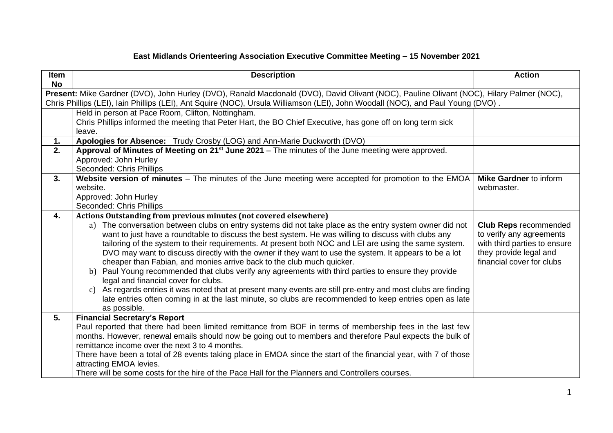## **East Midlands Orienteering Association Executive Committee Meeting – 15 November 2021**

| Item<br><b>No</b> | <b>Description</b>                                                                                                                                                                                                                                                                                                                                                                                                                                                                                                                                                                                                                                                                                                                                                                                                                                                                                                                                                                      | <b>Action</b>                                                                                                                                   |
|-------------------|-----------------------------------------------------------------------------------------------------------------------------------------------------------------------------------------------------------------------------------------------------------------------------------------------------------------------------------------------------------------------------------------------------------------------------------------------------------------------------------------------------------------------------------------------------------------------------------------------------------------------------------------------------------------------------------------------------------------------------------------------------------------------------------------------------------------------------------------------------------------------------------------------------------------------------------------------------------------------------------------|-------------------------------------------------------------------------------------------------------------------------------------------------|
|                   | Present: Mike Gardner (DVO), John Hurley (DVO), Ranald Macdonald (DVO), David Olivant (NOC), Pauline Olivant (NOC), Hilary Palmer (NOC),<br>Chris Phillips (LEI), Iain Phillips (LEI), Ant Squire (NOC), Ursula Williamson (LEI), John Woodall (NOC), and Paul Young (DVO).                                                                                                                                                                                                                                                                                                                                                                                                                                                                                                                                                                                                                                                                                                             |                                                                                                                                                 |
|                   | Held in person at Pace Room, Clifton, Nottingham.<br>Chris Phillips informed the meeting that Peter Hart, the BO Chief Executive, has gone off on long term sick<br>leave.                                                                                                                                                                                                                                                                                                                                                                                                                                                                                                                                                                                                                                                                                                                                                                                                              |                                                                                                                                                 |
| 1.                | Apologies for Absence: Trudy Crosby (LOG) and Ann-Marie Duckworth (DVO)                                                                                                                                                                                                                                                                                                                                                                                                                                                                                                                                                                                                                                                                                                                                                                                                                                                                                                                 |                                                                                                                                                 |
| 2.                | Approval of Minutes of Meeting on $21^{st}$ June 2021 – The minutes of the June meeting were approved.<br>Approved: John Hurley<br>Seconded: Chris Phillips                                                                                                                                                                                                                                                                                                                                                                                                                                                                                                                                                                                                                                                                                                                                                                                                                             |                                                                                                                                                 |
| 3.                | Website version of minutes $-$ The minutes of the June meeting were accepted for promotion to the EMOA $ $<br>website.<br>Approved: John Hurley<br>Seconded: Chris Phillips                                                                                                                                                                                                                                                                                                                                                                                                                                                                                                                                                                                                                                                                                                                                                                                                             | <b>Mike Gardner to inform</b><br>webmaster.                                                                                                     |
| 4.                | <b>Actions Outstanding from previous minutes (not covered elsewhere)</b><br>The conversation between clubs on entry systems did not take place as the entry system owner did not<br>a)<br>want to just have a roundtable to discuss the best system. He was willing to discuss with clubs any<br>tailoring of the system to their requirements. At present both NOC and LEI are using the same system.<br>DVO may want to discuss directly with the owner if they want to use the system. It appears to be a lot<br>cheaper than Fabian, and monies arrive back to the club much quicker.<br>b) Paul Young recommended that clubs verify any agreements with third parties to ensure they provide<br>legal and financial cover for clubs.<br>As regards entries it was noted that at present many events are still pre-entry and most clubs are finding<br>C)<br>late entries often coming in at the last minute, so clubs are recommended to keep entries open as late<br>as possible. | <b>Club Reps recommended</b><br>to verify any agreements<br>with third parties to ensure<br>they provide legal and<br>financial cover for clubs |
| 5.                | <b>Financial Secretary's Report</b><br>Paul reported that there had been limited remittance from BOF in terms of membership fees in the last few<br>months. However, renewal emails should now be going out to members and therefore Paul expects the bulk of<br>remittance income over the next 3 to 4 months.<br>There have been a total of 28 events taking place in EMOA since the start of the financial year, with 7 of those<br>attracting EMOA levies.<br>There will be some costs for the hire of the Pace Hall for the Planners and Controllers courses.                                                                                                                                                                                                                                                                                                                                                                                                                      |                                                                                                                                                 |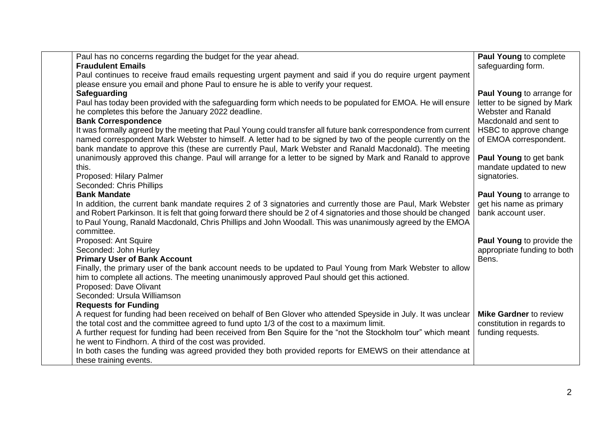| Paul has no concerns regarding the budget for the year ahead.                                                      | Paul Young to complete               |
|--------------------------------------------------------------------------------------------------------------------|--------------------------------------|
| <b>Fraudulent Emails</b>                                                                                           | safeguarding form.                   |
| Paul continues to receive fraud emails requesting urgent payment and said if you do require urgent payment         |                                      |
| please ensure you email and phone Paul to ensure he is able to verify your request.                                |                                      |
| Safeguarding                                                                                                       | Paul Young to arrange for            |
| Paul has today been provided with the safeguarding form which needs to be populated for EMOA. He will ensure       | letter to be signed by Mark          |
| he completes this before the January 2022 deadline.                                                                | <b>Webster and Ranald</b>            |
| <b>Bank Correspondence</b>                                                                                         | Macdonald and sent to                |
| It was formally agreed by the meeting that Paul Young could transfer all future bank correspondence from current   | HSBC to approve change               |
| named correspondent Mark Webster to himself. A letter had to be signed by two of the people currently on the       | of EMOA correspondent.               |
| bank mandate to approve this (these are currently Paul, Mark Webster and Ranald Macdonald). The meeting            |                                      |
| unanimously approved this change. Paul will arrange for a letter to be signed by Mark and Ranald to approve        | <b>Paul Young to get bank</b>        |
| this.                                                                                                              | mandate updated to new               |
| Proposed: Hilary Palmer                                                                                            | signatories.                         |
| Seconded: Chris Phillips                                                                                           |                                      |
| <b>Bank Mandate</b>                                                                                                | Paul Young to arrange to             |
| In addition, the current bank mandate requires 2 of 3 signatories and currently those are Paul, Mark Webster       | get his name as primary              |
| and Robert Parkinson. It is felt that going forward there should be 2 of 4 signatories and those should be changed | bank account user.                   |
| to Paul Young, Ranald Macdonald, Chris Phillips and John Woodall. This was unanimously agreed by the EMOA          |                                      |
| committee.                                                                                                         |                                      |
| Proposed: Ant Squire<br>Seconded: John Hurley                                                                      | <b>Paul Young to provide the</b>     |
| <b>Primary User of Bank Account</b>                                                                                | appropriate funding to both<br>Bens. |
| Finally, the primary user of the bank account needs to be updated to Paul Young from Mark Webster to allow         |                                      |
| him to complete all actions. The meeting unanimously approved Paul should get this actioned.                       |                                      |
| Proposed: Dave Olivant                                                                                             |                                      |
| Seconded: Ursula Williamson                                                                                        |                                      |
| <b>Requests for Funding</b>                                                                                        |                                      |
| A request for funding had been received on behalf of Ben Glover who attended Speyside in July. It was unclear      | <b>Mike Gardner to review</b>        |
| the total cost and the committee agreed to fund upto 1/3 of the cost to a maximum limit.                           | constitution in regards to           |
| A further request for funding had been received from Ben Squire for the "not the Stockholm tour" which meant       | funding requests.                    |
| he went to Findhorn. A third of the cost was provided.                                                             |                                      |
| In both cases the funding was agreed provided they both provided reports for EMEWS on their attendance at          |                                      |
| these training events.                                                                                             |                                      |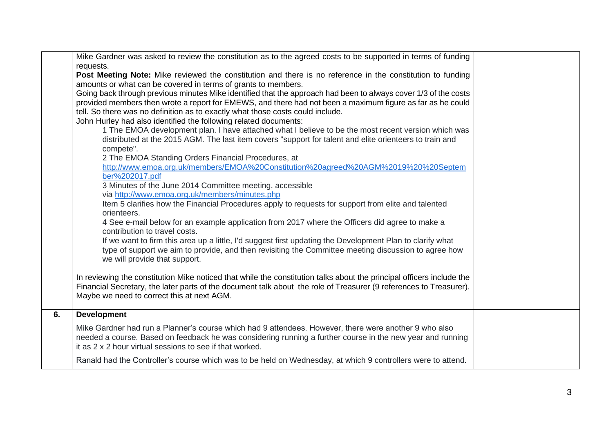|    | Mike Gardner was asked to review the constitution as to the agreed costs to be supported in terms of funding                                                     |  |
|----|------------------------------------------------------------------------------------------------------------------------------------------------------------------|--|
|    | requests.                                                                                                                                                        |  |
|    | Post Meeting Note: Mike reviewed the constitution and there is no reference in the constitution to funding                                                       |  |
|    | amounts or what can be covered in terms of grants to members.                                                                                                    |  |
|    | Going back through previous minutes Mike identified that the approach had been to always cover 1/3 of the costs                                                  |  |
|    | provided members then wrote a report for EMEWS, and there had not been a maximum figure as far as he could                                                       |  |
|    | tell. So there was no definition as to exactly what those costs could include.                                                                                   |  |
|    | John Hurley had also identified the following related documents:                                                                                                 |  |
|    | 1 The EMOA development plan. I have attached what I believe to be the most recent version which was                                                              |  |
|    | distributed at the 2015 AGM. The last item covers "support for talent and elite orienteers to train and                                                          |  |
|    | compete".                                                                                                                                                        |  |
|    | 2 The EMOA Standing Orders Financial Procedures, at                                                                                                              |  |
|    | http://www.emoa.org.uk/members/EMOA%20Constitution%20agreed%20AGM%2019%20%20Septem                                                                               |  |
|    | ber%202017.pdf                                                                                                                                                   |  |
|    | 3 Minutes of the June 2014 Committee meeting, accessible                                                                                                         |  |
|    | via http://www.emoa.org.uk/members/minutes.php                                                                                                                   |  |
|    | Item 5 clarifies how the Financial Procedures apply to requests for support from elite and talented                                                              |  |
|    | orienteers.                                                                                                                                                      |  |
|    | 4 See e-mail below for an example application from 2017 where the Officers did agree to make a                                                                   |  |
|    | contribution to travel costs.                                                                                                                                    |  |
|    | If we want to firm this area up a little, I'd suggest first updating the Development Plan to clarify what                                                        |  |
|    | type of support we aim to provide, and then revisiting the Committee meeting discussion to agree how                                                             |  |
|    | we will provide that support.                                                                                                                                    |  |
|    |                                                                                                                                                                  |  |
|    | In reviewing the constitution Mike noticed that while the constitution talks about the principal officers include the                                            |  |
|    | Financial Secretary, the later parts of the document talk about the role of Treasurer (9 references to Treasurer).<br>Maybe we need to correct this at next AGM. |  |
|    |                                                                                                                                                                  |  |
| 6. | <b>Development</b>                                                                                                                                               |  |
|    | Mike Gardner had run a Planner's course which had 9 attendees. However, there were another 9 who also                                                            |  |
|    | needed a course. Based on feedback he was considering running a further course in the new year and running                                                       |  |
|    | it as 2 x 2 hour virtual sessions to see if that worked.                                                                                                         |  |
|    |                                                                                                                                                                  |  |
|    | Ranald had the Controller's course which was to be held on Wednesday, at which 9 controllers were to attend.                                                     |  |
|    |                                                                                                                                                                  |  |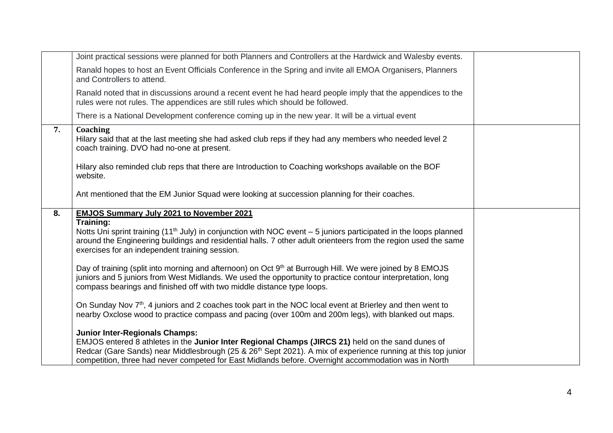|    | Joint practical sessions were planned for both Planners and Controllers at the Hardwick and Walesby events.                                                                                                                                                                                                     |  |
|----|-----------------------------------------------------------------------------------------------------------------------------------------------------------------------------------------------------------------------------------------------------------------------------------------------------------------|--|
|    | Ranald hopes to host an Event Officials Conference in the Spring and invite all EMOA Organisers, Planners<br>and Controllers to attend.                                                                                                                                                                         |  |
|    | Ranald noted that in discussions around a recent event he had heard people imply that the appendices to the<br>rules were not rules. The appendices are still rules which should be followed.                                                                                                                   |  |
|    | There is a National Development conference coming up in the new year. It will be a virtual event                                                                                                                                                                                                                |  |
| 7. | Coaching<br>Hilary said that at the last meeting she had asked club reps if they had any members who needed level 2<br>coach training. DVO had no-one at present.                                                                                                                                               |  |
|    | Hilary also reminded club reps that there are Introduction to Coaching workshops available on the BOF<br>website.                                                                                                                                                                                               |  |
|    | Ant mentioned that the EM Junior Squad were looking at succession planning for their coaches.                                                                                                                                                                                                                   |  |
| 8. | <b>EMJOS Summary July 2021 to November 2021</b>                                                                                                                                                                                                                                                                 |  |
|    |                                                                                                                                                                                                                                                                                                                 |  |
|    | Training:<br>Notts Uni sprint training (11 <sup>th</sup> July) in conjunction with NOC event $-5$ juniors participated in the loops planned<br>around the Engineering buildings and residential halls. 7 other adult orienteers from the region used the same<br>exercises for an independent training session. |  |
|    | Day of training (split into morning and afternoon) on Oct 9 <sup>th</sup> at Burrough Hill. We were joined by 8 EMOJS<br>juniors and 5 juniors from West Midlands. We used the opportunity to practice contour interpretation, long<br>compass bearings and finished off with two middle distance type loops.   |  |
|    | On Sunday Nov $7th$ , 4 juniors and 2 coaches took part in the NOC local event at Brierley and then went to<br>nearby Oxclose wood to practice compass and pacing (over 100m and 200m legs), with blanked out maps.                                                                                             |  |
|    | <b>Junior Inter-Regionals Champs:</b>                                                                                                                                                                                                                                                                           |  |
|    | EMJOS entered 8 athletes in the Junior Inter Regional Champs (JIRCS 21) held on the sand dunes of                                                                                                                                                                                                               |  |
|    | Redcar (Gare Sands) near Middlesbrough (25 & 26 <sup>th</sup> Sept 2021). A mix of experience running at this top junior<br>competition, three had never competed for East Midlands before. Overnight accommodation was in North                                                                                |  |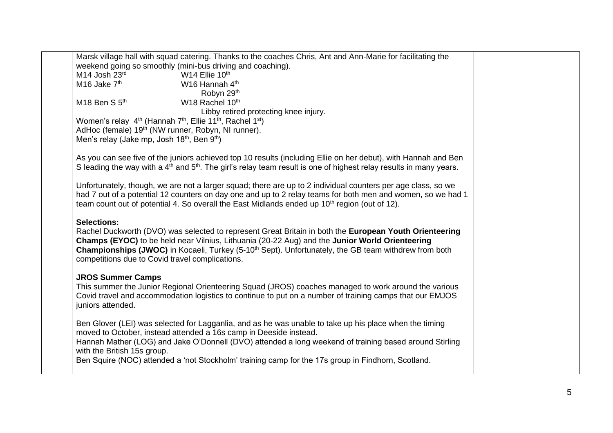| Marsk village hall with squad catering. Thanks to the coaches Chris, Ant and Ann-Marie for facilitating the<br>weekend going so smoothly (mini-bus driving and coaching).<br>M14 Josh $23^{\text{rd}}$<br>M16 Jake $7^{\text{th}}$<br>W14 Ellie 10th<br>W16 Hannah 4 <sup>th</sup><br>Robyn 29th<br>W <sub>18</sub> Rachel 10 <sup>th</sup><br>$M18$ Ben S $5th$<br>Libby retired protecting knee injury.<br>Women's relay 4 <sup>th</sup> (Hannah 7 <sup>th</sup> , Ellie 11 <sup>th</sup> , Rachel 1 <sup>st</sup> )<br>AdHoc (female) 19 <sup>th</sup> (NW runner, Robyn, NI runner).<br>Men's relay (Jake mp, Josh 18 <sup>th</sup> , Ben 9 <sup>th</sup> )<br>As you can see five of the juniors achieved top 10 results (including Ellie on her debut), with Hannah and Ben<br>S leading the way with a $4th$ and $5th$ . The girl's relay team result is one of highest relay results in many years.<br>Unfortunately, though, we are not a larger squad; there are up to 2 individual counters per age class, so we<br>had 7 out of a potential 12 counters on day one and up to 2 relay teams for both men and women, so we had 1<br>team count out of potential 4. So overall the East Midlands ended up 10 <sup>th</sup> region (out of 12).<br><b>Selections:</b><br>Rachel Duckworth (DVO) was selected to represent Great Britain in both the European Youth Orienteering<br>Champs (EYOC) to be held near Vilnius, Lithuania (20-22 Aug) and the Junior World Orienteering<br>Championships (JWOC) in Kocaeli, Turkey (5-10 <sup>th</sup> Sept). Unfortunately, the GB team withdrew from both<br>competitions due to Covid travel complications.<br><b>JROS Summer Camps</b><br>This summer the Junior Regional Orienteering Squad (JROS) coaches managed to work around the various<br>Covid travel and accommodation logistics to continue to put on a number of training camps that our EMJOS<br>juniors attended.<br>Ben Glover (LEI) was selected for Lagganlia, and as he was unable to take up his place when the timing<br>moved to October, instead attended a 16s camp in Deeside instead.<br>Hannah Mather (LOG) and Jake O'Donnell (DVO) attended a long weekend of training based around Stirling<br>with the British 15s group.<br>Ben Squire (NOC) attended a 'not Stockholm' training camp for the 17s group in Findhorn, Scotland. |  |  |
|---------------------------------------------------------------------------------------------------------------------------------------------------------------------------------------------------------------------------------------------------------------------------------------------------------------------------------------------------------------------------------------------------------------------------------------------------------------------------------------------------------------------------------------------------------------------------------------------------------------------------------------------------------------------------------------------------------------------------------------------------------------------------------------------------------------------------------------------------------------------------------------------------------------------------------------------------------------------------------------------------------------------------------------------------------------------------------------------------------------------------------------------------------------------------------------------------------------------------------------------------------------------------------------------------------------------------------------------------------------------------------------------------------------------------------------------------------------------------------------------------------------------------------------------------------------------------------------------------------------------------------------------------------------------------------------------------------------------------------------------------------------------------------------------------------------------------------------------------------------------------------------------------------------------------------------------------------------------------------------------------------------------------------------------------------------------------------------------------------------------------------------------------------------------------------------------------------------------------------------------------------------------------------------------------------------------------------------------------------------------|--|--|
|                                                                                                                                                                                                                                                                                                                                                                                                                                                                                                                                                                                                                                                                                                                                                                                                                                                                                                                                                                                                                                                                                                                                                                                                                                                                                                                                                                                                                                                                                                                                                                                                                                                                                                                                                                                                                                                                                                                                                                                                                                                                                                                                                                                                                                                                                                                                                                     |  |  |
|                                                                                                                                                                                                                                                                                                                                                                                                                                                                                                                                                                                                                                                                                                                                                                                                                                                                                                                                                                                                                                                                                                                                                                                                                                                                                                                                                                                                                                                                                                                                                                                                                                                                                                                                                                                                                                                                                                                                                                                                                                                                                                                                                                                                                                                                                                                                                                     |  |  |
|                                                                                                                                                                                                                                                                                                                                                                                                                                                                                                                                                                                                                                                                                                                                                                                                                                                                                                                                                                                                                                                                                                                                                                                                                                                                                                                                                                                                                                                                                                                                                                                                                                                                                                                                                                                                                                                                                                                                                                                                                                                                                                                                                                                                                                                                                                                                                                     |  |  |
|                                                                                                                                                                                                                                                                                                                                                                                                                                                                                                                                                                                                                                                                                                                                                                                                                                                                                                                                                                                                                                                                                                                                                                                                                                                                                                                                                                                                                                                                                                                                                                                                                                                                                                                                                                                                                                                                                                                                                                                                                                                                                                                                                                                                                                                                                                                                                                     |  |  |
|                                                                                                                                                                                                                                                                                                                                                                                                                                                                                                                                                                                                                                                                                                                                                                                                                                                                                                                                                                                                                                                                                                                                                                                                                                                                                                                                                                                                                                                                                                                                                                                                                                                                                                                                                                                                                                                                                                                                                                                                                                                                                                                                                                                                                                                                                                                                                                     |  |  |
|                                                                                                                                                                                                                                                                                                                                                                                                                                                                                                                                                                                                                                                                                                                                                                                                                                                                                                                                                                                                                                                                                                                                                                                                                                                                                                                                                                                                                                                                                                                                                                                                                                                                                                                                                                                                                                                                                                                                                                                                                                                                                                                                                                                                                                                                                                                                                                     |  |  |
|                                                                                                                                                                                                                                                                                                                                                                                                                                                                                                                                                                                                                                                                                                                                                                                                                                                                                                                                                                                                                                                                                                                                                                                                                                                                                                                                                                                                                                                                                                                                                                                                                                                                                                                                                                                                                                                                                                                                                                                                                                                                                                                                                                                                                                                                                                                                                                     |  |  |
|                                                                                                                                                                                                                                                                                                                                                                                                                                                                                                                                                                                                                                                                                                                                                                                                                                                                                                                                                                                                                                                                                                                                                                                                                                                                                                                                                                                                                                                                                                                                                                                                                                                                                                                                                                                                                                                                                                                                                                                                                                                                                                                                                                                                                                                                                                                                                                     |  |  |
|                                                                                                                                                                                                                                                                                                                                                                                                                                                                                                                                                                                                                                                                                                                                                                                                                                                                                                                                                                                                                                                                                                                                                                                                                                                                                                                                                                                                                                                                                                                                                                                                                                                                                                                                                                                                                                                                                                                                                                                                                                                                                                                                                                                                                                                                                                                                                                     |  |  |
|                                                                                                                                                                                                                                                                                                                                                                                                                                                                                                                                                                                                                                                                                                                                                                                                                                                                                                                                                                                                                                                                                                                                                                                                                                                                                                                                                                                                                                                                                                                                                                                                                                                                                                                                                                                                                                                                                                                                                                                                                                                                                                                                                                                                                                                                                                                                                                     |  |  |
|                                                                                                                                                                                                                                                                                                                                                                                                                                                                                                                                                                                                                                                                                                                                                                                                                                                                                                                                                                                                                                                                                                                                                                                                                                                                                                                                                                                                                                                                                                                                                                                                                                                                                                                                                                                                                                                                                                                                                                                                                                                                                                                                                                                                                                                                                                                                                                     |  |  |
|                                                                                                                                                                                                                                                                                                                                                                                                                                                                                                                                                                                                                                                                                                                                                                                                                                                                                                                                                                                                                                                                                                                                                                                                                                                                                                                                                                                                                                                                                                                                                                                                                                                                                                                                                                                                                                                                                                                                                                                                                                                                                                                                                                                                                                                                                                                                                                     |  |  |
|                                                                                                                                                                                                                                                                                                                                                                                                                                                                                                                                                                                                                                                                                                                                                                                                                                                                                                                                                                                                                                                                                                                                                                                                                                                                                                                                                                                                                                                                                                                                                                                                                                                                                                                                                                                                                                                                                                                                                                                                                                                                                                                                                                                                                                                                                                                                                                     |  |  |
|                                                                                                                                                                                                                                                                                                                                                                                                                                                                                                                                                                                                                                                                                                                                                                                                                                                                                                                                                                                                                                                                                                                                                                                                                                                                                                                                                                                                                                                                                                                                                                                                                                                                                                                                                                                                                                                                                                                                                                                                                                                                                                                                                                                                                                                                                                                                                                     |  |  |
|                                                                                                                                                                                                                                                                                                                                                                                                                                                                                                                                                                                                                                                                                                                                                                                                                                                                                                                                                                                                                                                                                                                                                                                                                                                                                                                                                                                                                                                                                                                                                                                                                                                                                                                                                                                                                                                                                                                                                                                                                                                                                                                                                                                                                                                                                                                                                                     |  |  |
|                                                                                                                                                                                                                                                                                                                                                                                                                                                                                                                                                                                                                                                                                                                                                                                                                                                                                                                                                                                                                                                                                                                                                                                                                                                                                                                                                                                                                                                                                                                                                                                                                                                                                                                                                                                                                                                                                                                                                                                                                                                                                                                                                                                                                                                                                                                                                                     |  |  |
|                                                                                                                                                                                                                                                                                                                                                                                                                                                                                                                                                                                                                                                                                                                                                                                                                                                                                                                                                                                                                                                                                                                                                                                                                                                                                                                                                                                                                                                                                                                                                                                                                                                                                                                                                                                                                                                                                                                                                                                                                                                                                                                                                                                                                                                                                                                                                                     |  |  |
|                                                                                                                                                                                                                                                                                                                                                                                                                                                                                                                                                                                                                                                                                                                                                                                                                                                                                                                                                                                                                                                                                                                                                                                                                                                                                                                                                                                                                                                                                                                                                                                                                                                                                                                                                                                                                                                                                                                                                                                                                                                                                                                                                                                                                                                                                                                                                                     |  |  |
|                                                                                                                                                                                                                                                                                                                                                                                                                                                                                                                                                                                                                                                                                                                                                                                                                                                                                                                                                                                                                                                                                                                                                                                                                                                                                                                                                                                                                                                                                                                                                                                                                                                                                                                                                                                                                                                                                                                                                                                                                                                                                                                                                                                                                                                                                                                                                                     |  |  |
|                                                                                                                                                                                                                                                                                                                                                                                                                                                                                                                                                                                                                                                                                                                                                                                                                                                                                                                                                                                                                                                                                                                                                                                                                                                                                                                                                                                                                                                                                                                                                                                                                                                                                                                                                                                                                                                                                                                                                                                                                                                                                                                                                                                                                                                                                                                                                                     |  |  |
|                                                                                                                                                                                                                                                                                                                                                                                                                                                                                                                                                                                                                                                                                                                                                                                                                                                                                                                                                                                                                                                                                                                                                                                                                                                                                                                                                                                                                                                                                                                                                                                                                                                                                                                                                                                                                                                                                                                                                                                                                                                                                                                                                                                                                                                                                                                                                                     |  |  |
|                                                                                                                                                                                                                                                                                                                                                                                                                                                                                                                                                                                                                                                                                                                                                                                                                                                                                                                                                                                                                                                                                                                                                                                                                                                                                                                                                                                                                                                                                                                                                                                                                                                                                                                                                                                                                                                                                                                                                                                                                                                                                                                                                                                                                                                                                                                                                                     |  |  |
|                                                                                                                                                                                                                                                                                                                                                                                                                                                                                                                                                                                                                                                                                                                                                                                                                                                                                                                                                                                                                                                                                                                                                                                                                                                                                                                                                                                                                                                                                                                                                                                                                                                                                                                                                                                                                                                                                                                                                                                                                                                                                                                                                                                                                                                                                                                                                                     |  |  |
|                                                                                                                                                                                                                                                                                                                                                                                                                                                                                                                                                                                                                                                                                                                                                                                                                                                                                                                                                                                                                                                                                                                                                                                                                                                                                                                                                                                                                                                                                                                                                                                                                                                                                                                                                                                                                                                                                                                                                                                                                                                                                                                                                                                                                                                                                                                                                                     |  |  |
|                                                                                                                                                                                                                                                                                                                                                                                                                                                                                                                                                                                                                                                                                                                                                                                                                                                                                                                                                                                                                                                                                                                                                                                                                                                                                                                                                                                                                                                                                                                                                                                                                                                                                                                                                                                                                                                                                                                                                                                                                                                                                                                                                                                                                                                                                                                                                                     |  |  |
|                                                                                                                                                                                                                                                                                                                                                                                                                                                                                                                                                                                                                                                                                                                                                                                                                                                                                                                                                                                                                                                                                                                                                                                                                                                                                                                                                                                                                                                                                                                                                                                                                                                                                                                                                                                                                                                                                                                                                                                                                                                                                                                                                                                                                                                                                                                                                                     |  |  |
|                                                                                                                                                                                                                                                                                                                                                                                                                                                                                                                                                                                                                                                                                                                                                                                                                                                                                                                                                                                                                                                                                                                                                                                                                                                                                                                                                                                                                                                                                                                                                                                                                                                                                                                                                                                                                                                                                                                                                                                                                                                                                                                                                                                                                                                                                                                                                                     |  |  |
|                                                                                                                                                                                                                                                                                                                                                                                                                                                                                                                                                                                                                                                                                                                                                                                                                                                                                                                                                                                                                                                                                                                                                                                                                                                                                                                                                                                                                                                                                                                                                                                                                                                                                                                                                                                                                                                                                                                                                                                                                                                                                                                                                                                                                                                                                                                                                                     |  |  |
|                                                                                                                                                                                                                                                                                                                                                                                                                                                                                                                                                                                                                                                                                                                                                                                                                                                                                                                                                                                                                                                                                                                                                                                                                                                                                                                                                                                                                                                                                                                                                                                                                                                                                                                                                                                                                                                                                                                                                                                                                                                                                                                                                                                                                                                                                                                                                                     |  |  |
|                                                                                                                                                                                                                                                                                                                                                                                                                                                                                                                                                                                                                                                                                                                                                                                                                                                                                                                                                                                                                                                                                                                                                                                                                                                                                                                                                                                                                                                                                                                                                                                                                                                                                                                                                                                                                                                                                                                                                                                                                                                                                                                                                                                                                                                                                                                                                                     |  |  |
|                                                                                                                                                                                                                                                                                                                                                                                                                                                                                                                                                                                                                                                                                                                                                                                                                                                                                                                                                                                                                                                                                                                                                                                                                                                                                                                                                                                                                                                                                                                                                                                                                                                                                                                                                                                                                                                                                                                                                                                                                                                                                                                                                                                                                                                                                                                                                                     |  |  |
|                                                                                                                                                                                                                                                                                                                                                                                                                                                                                                                                                                                                                                                                                                                                                                                                                                                                                                                                                                                                                                                                                                                                                                                                                                                                                                                                                                                                                                                                                                                                                                                                                                                                                                                                                                                                                                                                                                                                                                                                                                                                                                                                                                                                                                                                                                                                                                     |  |  |
|                                                                                                                                                                                                                                                                                                                                                                                                                                                                                                                                                                                                                                                                                                                                                                                                                                                                                                                                                                                                                                                                                                                                                                                                                                                                                                                                                                                                                                                                                                                                                                                                                                                                                                                                                                                                                                                                                                                                                                                                                                                                                                                                                                                                                                                                                                                                                                     |  |  |
|                                                                                                                                                                                                                                                                                                                                                                                                                                                                                                                                                                                                                                                                                                                                                                                                                                                                                                                                                                                                                                                                                                                                                                                                                                                                                                                                                                                                                                                                                                                                                                                                                                                                                                                                                                                                                                                                                                                                                                                                                                                                                                                                                                                                                                                                                                                                                                     |  |  |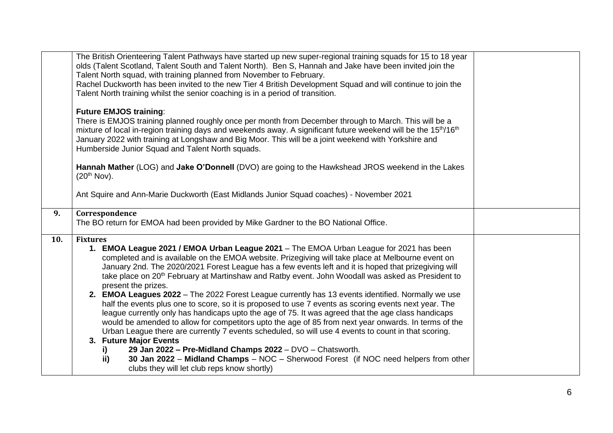| <b>Future EMJOS training:</b><br>There is EMJOS training planned roughly once per month from December through to March. This will be a<br>mixture of local in-region training days and weekends away. A significant future weekend will be the 15 <sup>th</sup> /16 <sup>th</sup><br>January 2022 with training at Longshaw and Big Moor. This will be a joint weekend with Yorkshire and<br>Humberside Junior Squad and Talent North squads.<br>Hannah Mather (LOG) and Jake O'Donnell (DVO) are going to the Hawkshead JROS weekend in the Lakes<br>(20 <sup>th</sup> Nov).<br>Ant Squire and Ann-Marie Duckworth (East Midlands Junior Squad coaches) - November 2021<br>Correspondence<br>9.<br>The BO return for EMOA had been provided by Mike Gardner to the BO National Office.<br>10.<br><b>Fixtures</b><br>1. EMOA League 2021 / EMOA Urban League 2021 - The EMOA Urban League for 2021 has been<br>completed and is available on the EMOA website. Prizegiving will take place at Melbourne event on<br>January 2nd. The 2020/2021 Forest League has a few events left and it is hoped that prizegiving will<br>take place on 20 <sup>th</sup> February at Martinshaw and Ratby event. John Woodall was asked as President to<br>present the prizes.<br>2. EMOA Leagues 2022 - The 2022 Forest League currently has 13 events identified. Normally we use<br>half the events plus one to score, so it is proposed to use 7 events as scoring events next year. The<br>league currently only has handicaps upto the age of 75. It was agreed that the age class handicaps<br>would be amended to allow for competitors upto the age of 85 from next year onwards. In terms of the<br>Urban League there are currently 7 events scheduled, so will use 4 events to count in that scoring.<br>3. Future Major Events<br>29 Jan 2022 - Pre-Midland Champs 2022 - DVO - Chatsworth.<br>i)<br>30 Jan 2022 - Midland Champs - NOC - Sherwood Forest (if NOC need helpers from other<br>ii) | The British Orienteering Talent Pathways have started up new super-regional training squads for 15 to 18 year<br>olds (Talent Scotland, Talent South and Talent North). Ben S, Hannah and Jake have been invited join the<br>Talent North squad, with training planned from November to February.<br>Rachel Duckworth has been invited to the new Tier 4 British Development Squad and will continue to join the<br>Talent North training whilst the senior coaching is in a period of transition. |  |
|-------------------------------------------------------------------------------------------------------------------------------------------------------------------------------------------------------------------------------------------------------------------------------------------------------------------------------------------------------------------------------------------------------------------------------------------------------------------------------------------------------------------------------------------------------------------------------------------------------------------------------------------------------------------------------------------------------------------------------------------------------------------------------------------------------------------------------------------------------------------------------------------------------------------------------------------------------------------------------------------------------------------------------------------------------------------------------------------------------------------------------------------------------------------------------------------------------------------------------------------------------------------------------------------------------------------------------------------------------------------------------------------------------------------------------------------------------------------------------------------------------------------------------------------------------------------------------------------------------------------------------------------------------------------------------------------------------------------------------------------------------------------------------------------------------------------------------------------------------------------------------------------------------------------------------------------------------------------------------------------------|----------------------------------------------------------------------------------------------------------------------------------------------------------------------------------------------------------------------------------------------------------------------------------------------------------------------------------------------------------------------------------------------------------------------------------------------------------------------------------------------------|--|
|                                                                                                                                                                                                                                                                                                                                                                                                                                                                                                                                                                                                                                                                                                                                                                                                                                                                                                                                                                                                                                                                                                                                                                                                                                                                                                                                                                                                                                                                                                                                                                                                                                                                                                                                                                                                                                                                                                                                                                                                 |                                                                                                                                                                                                                                                                                                                                                                                                                                                                                                    |  |
|                                                                                                                                                                                                                                                                                                                                                                                                                                                                                                                                                                                                                                                                                                                                                                                                                                                                                                                                                                                                                                                                                                                                                                                                                                                                                                                                                                                                                                                                                                                                                                                                                                                                                                                                                                                                                                                                                                                                                                                                 |                                                                                                                                                                                                                                                                                                                                                                                                                                                                                                    |  |
|                                                                                                                                                                                                                                                                                                                                                                                                                                                                                                                                                                                                                                                                                                                                                                                                                                                                                                                                                                                                                                                                                                                                                                                                                                                                                                                                                                                                                                                                                                                                                                                                                                                                                                                                                                                                                                                                                                                                                                                                 |                                                                                                                                                                                                                                                                                                                                                                                                                                                                                                    |  |
|                                                                                                                                                                                                                                                                                                                                                                                                                                                                                                                                                                                                                                                                                                                                                                                                                                                                                                                                                                                                                                                                                                                                                                                                                                                                                                                                                                                                                                                                                                                                                                                                                                                                                                                                                                                                                                                                                                                                                                                                 |                                                                                                                                                                                                                                                                                                                                                                                                                                                                                                    |  |
| clubs they will let club reps know shortly)                                                                                                                                                                                                                                                                                                                                                                                                                                                                                                                                                                                                                                                                                                                                                                                                                                                                                                                                                                                                                                                                                                                                                                                                                                                                                                                                                                                                                                                                                                                                                                                                                                                                                                                                                                                                                                                                                                                                                     |                                                                                                                                                                                                                                                                                                                                                                                                                                                                                                    |  |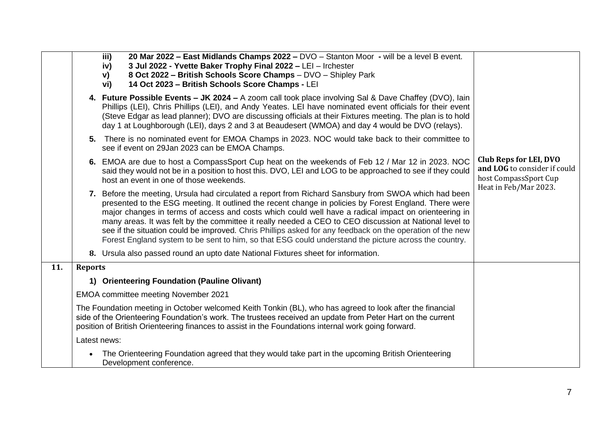|     |                | 20 Mar 2022 - East Midlands Champs 2022 - DVO - Stanton Moor - will be a level B event.<br>iii)<br>3 Jul 2022 - Yvette Baker Trophy Final 2022 - LEI - Irchester<br>iv)<br>8 Oct 2022 - British Schools Score Champs - DVO - Shipley Park<br>V)<br>14 Oct 2023 - British Schools Score Champs - LEI<br>vi)                                                                                                                                                                                                                                                                                                                                            |                                                                                 |
|-----|----------------|-------------------------------------------------------------------------------------------------------------------------------------------------------------------------------------------------------------------------------------------------------------------------------------------------------------------------------------------------------------------------------------------------------------------------------------------------------------------------------------------------------------------------------------------------------------------------------------------------------------------------------------------------------|---------------------------------------------------------------------------------|
|     |                | 4. Future Possible Events - JK 2024 - A zoom call took place involving Sal & Dave Chaffey (DVO), lain<br>Phillips (LEI), Chris Phillips (LEI), and Andy Yeates. LEI have nominated event officials for their event<br>(Steve Edgar as lead planner); DVO are discussing officials at their Fixtures meeting. The plan is to hold<br>day 1 at Loughborough (LEI), days 2 and 3 at Beaudesert (WMOA) and day 4 would be DVO (relays).                                                                                                                                                                                                                   |                                                                                 |
|     |                | 5. There is no nominated event for EMOA Champs in 2023. NOC would take back to their committee to<br>see if event on 29Jan 2023 can be EMOA Champs.                                                                                                                                                                                                                                                                                                                                                                                                                                                                                                   |                                                                                 |
|     |                | 6. EMOA are due to host a CompassSport Cup heat on the weekends of Feb 12 / Mar 12 in 2023. NOC<br>said they would not be in a position to host this. DVO, LEI and LOG to be approached to see if they could<br>host an event in one of those weekends.                                                                                                                                                                                                                                                                                                                                                                                               | Club Reps for LEI, DVO<br>and LOG to consider if could<br>host CompassSport Cup |
|     |                | 7. Before the meeting, Ursula had circulated a report from Richard Sansbury from SWOA which had been<br>presented to the ESG meeting. It outlined the recent change in policies by Forest England. There were<br>major changes in terms of access and costs which could well have a radical impact on orienteering in<br>many areas. It was felt by the committee it really needed a CEO to CEO discussion at National level to<br>see if the situation could be improved. Chris Phillips asked for any feedback on the operation of the new<br>Forest England system to be sent to him, so that ESG could understand the picture across the country. | Heat in Feb/Mar 2023.                                                           |
|     |                | 8. Ursula also passed round an upto date National Fixtures sheet for information.                                                                                                                                                                                                                                                                                                                                                                                                                                                                                                                                                                     |                                                                                 |
| 11. | <b>Reports</b> |                                                                                                                                                                                                                                                                                                                                                                                                                                                                                                                                                                                                                                                       |                                                                                 |
|     |                | 1) Orienteering Foundation (Pauline Olivant)                                                                                                                                                                                                                                                                                                                                                                                                                                                                                                                                                                                                          |                                                                                 |
|     |                | EMOA committee meeting November 2021                                                                                                                                                                                                                                                                                                                                                                                                                                                                                                                                                                                                                  |                                                                                 |
|     |                | The Foundation meeting in October welcomed Keith Tonkin (BL), who has agreed to look after the financial<br>side of the Orienteering Foundation's work. The trustees received an update from Peter Hart on the current<br>position of British Orienteering finances to assist in the Foundations internal work going forward.                                                                                                                                                                                                                                                                                                                         |                                                                                 |
|     |                | Latest news:                                                                                                                                                                                                                                                                                                                                                                                                                                                                                                                                                                                                                                          |                                                                                 |
|     |                | The Orienteering Foundation agreed that they would take part in the upcoming British Orienteering<br>Development conference.                                                                                                                                                                                                                                                                                                                                                                                                                                                                                                                          |                                                                                 |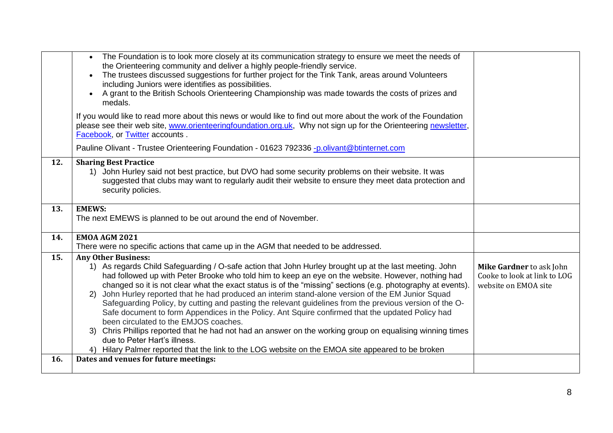|     | The Foundation is to look more closely at its communication strategy to ensure we meet the needs of<br>the Orienteering community and deliver a highly people-friendly service.<br>The trustees discussed suggestions for further project for the Tink Tank, areas around Volunteers<br>including Juniors were identifies as possibilities.<br>A grant to the British Schools Orienteering Championship was made towards the costs of prizes and<br>medals.                                                                                                                                                                                                                                                                                                                                                                                                                                                                                                                      |                                                                                  |
|-----|----------------------------------------------------------------------------------------------------------------------------------------------------------------------------------------------------------------------------------------------------------------------------------------------------------------------------------------------------------------------------------------------------------------------------------------------------------------------------------------------------------------------------------------------------------------------------------------------------------------------------------------------------------------------------------------------------------------------------------------------------------------------------------------------------------------------------------------------------------------------------------------------------------------------------------------------------------------------------------|----------------------------------------------------------------------------------|
|     | If you would like to read more about this news or would like to find out more about the work of the Foundation<br>please see their web site, www.orienteeringfoundation.org.uk, Why not sign up for the Orienteering newsletter,<br>Facebook, or Twitter accounts.                                                                                                                                                                                                                                                                                                                                                                                                                                                                                                                                                                                                                                                                                                               |                                                                                  |
|     | Pauline Olivant - Trustee Orienteering Foundation - 01623 792336 -p.olivant@btinternet.com                                                                                                                                                                                                                                                                                                                                                                                                                                                                                                                                                                                                                                                                                                                                                                                                                                                                                       |                                                                                  |
| 12. | <b>Sharing Best Practice</b><br>1) John Hurley said not best practice, but DVO had some security problems on their website. It was<br>suggested that clubs may want to regularly audit their website to ensure they meet data protection and<br>security policies.                                                                                                                                                                                                                                                                                                                                                                                                                                                                                                                                                                                                                                                                                                               |                                                                                  |
| 13. | <b>EMEWS:</b><br>The next EMEWS is planned to be out around the end of November.                                                                                                                                                                                                                                                                                                                                                                                                                                                                                                                                                                                                                                                                                                                                                                                                                                                                                                 |                                                                                  |
| 14. | <b>EMOA AGM 2021</b><br>There were no specific actions that came up in the AGM that needed to be addressed.                                                                                                                                                                                                                                                                                                                                                                                                                                                                                                                                                                                                                                                                                                                                                                                                                                                                      |                                                                                  |
| 15. | <b>Any Other Business:</b><br>1) As regards Child Safeguarding / O-safe action that John Hurley brought up at the last meeting. John<br>had followed up with Peter Brooke who told him to keep an eye on the website. However, nothing had<br>changed so it is not clear what the exact status is of the "missing" sections (e.g. photography at events).<br>John Hurley reported that he had produced an interim stand-alone version of the EM Junior Squad<br>(2)<br>Safeguarding Policy, by cutting and pasting the relevant guidelines from the previous version of the O-<br>Safe document to form Appendices in the Policy. Ant Squire confirmed that the updated Policy had<br>been circulated to the EMJOS coaches.<br>Chris Phillips reported that he had not had an answer on the working group on equalising winning times<br>3)<br>due to Peter Hart's illness.<br>4) Hilary Palmer reported that the link to the LOG website on the EMOA site appeared to be broken | Mike Gardner to ask John<br>Cooke to look at link to LOG<br>website on EMOA site |
| 16. | Dates and venues for future meetings:                                                                                                                                                                                                                                                                                                                                                                                                                                                                                                                                                                                                                                                                                                                                                                                                                                                                                                                                            |                                                                                  |